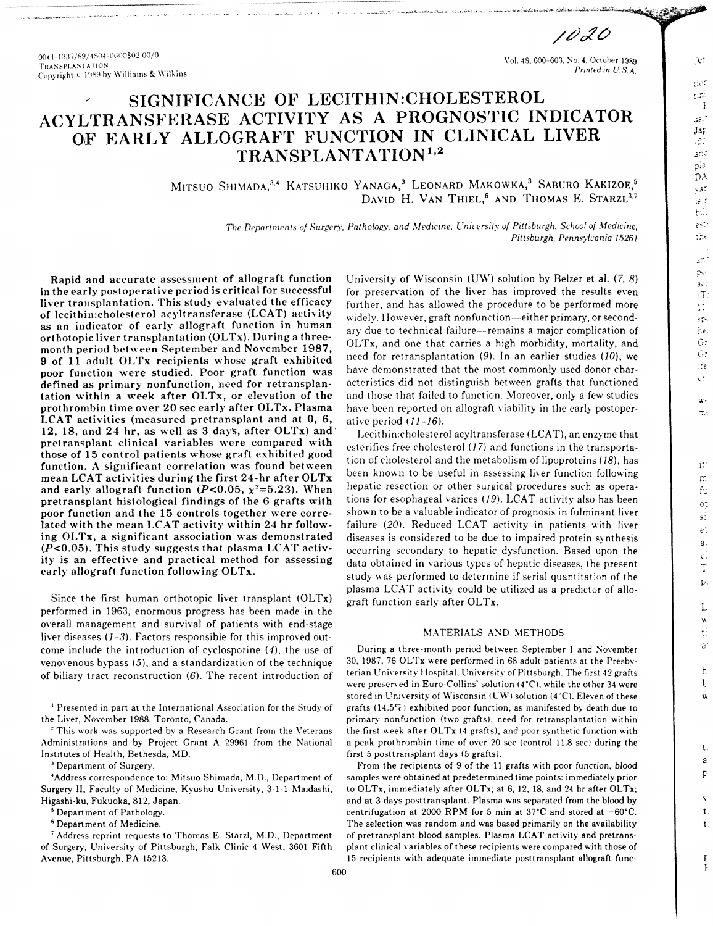0041-1337/89/4804-0600\$02.00/0 **TRANSPLANTATION** Copyright & 1989 by Williams & Wilkins

Vol. 48, 600-603, No. 4, October 1989 Printed in U.S.A

1020

 $\chi$  :

 $\Omega^{\rm eff}$ 

 $\Omega$  $\mathbf{F}$ 

 $38\%$ 

 $J\,a\,r$  $\mathcal{D}_{\mathbb{Z}}$ 

and  $\mathfrak{p}$  is DA

yar

 $\frac{1}{2}S$  .  $b$ .

 $\mathfrak{S}^*$ thè

ăŃ. pó.

act

 $\cdot$  T

 $\bar{1}$ 

şp

 $\mathop{\rm tr}\nolimits\hat{\mathbf{c}}$ 

 $G:$ 

G:

ifé

έř

 $\mathbf{x}$ 

m.

it:

m.

fu

 $O_{\mathcal{F}}^{\star}$ 

si.

 $\epsilon$ 

 $a<sub>1</sub>$ 

 $\mathcal{C}$ .

 $\mathbf T$ 

 $\mathbf{p}$ 

L

w

 $\mathfrak{t}$ :

à

 $\mathbf{h}$ 

 $\mathfrak{r}$ 

u

 $\mathbf{t}$ 

a

Þ

Ţ

# SIGNIFICANCE OF LECITHIN:CHOLESTEROL ACYLTRANSFERASE ACTIVITY AS A PROGNOSTIC INDICATOR OF EARLY ALLOGRAFT FUNCTION IN CLINICAL LIVER TRANSPLANTATION<sup>1,2</sup>

MITSUO SHIMADA,<sup>3,4</sup> KATSUHIKO YANAGA,<sup>3</sup> LEONARD MAKOWKA,<sup>3</sup> SABURO KAKIZOE,<sup>5</sup> DAVID H. VAN THIEL,<sup>6</sup> AND THOMAS E. STARZL<sup>3,7</sup>

> The Departments of Surgery, Pathology, and Medicine, University of Pittsburgh, School of Medicine, Pittsburgh, Pennsylvania 15261

Rapid and accurate assessment of allograft function in the early postoperative period is critical for successful liver transplantation. This study evaluated the efficacy of lecithin:cholesterol acyltransferase (LCAT) activity as an indicator of early allograft function in human orthotopic liver transplantation (OLTx). During a threemonth period between September and November 1987, 9 of 11 adult OLTx recipients whose graft exhibited poor function were studied. Poor graft function was defined as primary nonfunction, need for retransplantation within a week after OLTx, or elevation of the prothrombin time over 20 sec early after OLTx. Plasma LCAT activities (measured pretransplant and at 0, 6, 12, 18, and 24 hr, as well as 3 days, after OLTx) and pretransplant clinical variables were compared with those of 15 control patients whose graft exhibited good function. A significant correlation was found between mean LCAT activities during the first 24-hr after OLTx and early allograft function (P<0.05,  $\chi^2$ =5.23). When pretransplant histological findings of the 6 grafts with poor function and the 15 controls together were correlated with the mean LCAT activity within 24 hr following OLTx, a significant association was demonstrated  $(P<0.05)$ . This study suggests that plasma LCAT activity is an effective and practical method for assessing early allograft function following OLTx.

Since the first human orthotopic liver transplant (OLTx) performed in 1963, enormous progress has been made in the overall management and survival of patients with end-stage liver diseases  $(1-3)$ . Factors responsible for this improved outcome include the introduction of cyclosporine (4), the use of venovenous bypass (5), and a standardization of the technique of biliary tract reconstruction  $(6)$ . The recent introduction of

<sup>1</sup> Presented in part at the International Association for the Study of the Liver, November 1988, Toronto, Canada.

<sup>2</sup> This work was supported by a Research Grant from the Veterans Administrations and by Project Grant A 29961 from the National Institutes of Health, Bethesda, MD.

<sup>3</sup> Department of Surgery.

'Address correspondence to: Mitsuo Shimada, M.D., Department of Surgery II, Faculty of Medicine, Kyushu University, 3-1-1 Maidashi, Higashi-ku, Fukuoka, 812, Japan.

<sup>5</sup> Department of Pathology.

<sup>6</sup> Department of Medicine.

<sup>7</sup> Address reprint requests to Thomas E. Starzl, M.D., Department of Surgery, University of Pittsburgh, Falk Clinic 4 West, 3601 Fifth Avenue, Pittsburgh, PA 15213.

University of Wisconsin (UW) solution by Belzer et al.  $(7, 8)$ for preservation of the liver has improved the results even further, and has allowed the procedure to be performed more widely. However, graft nonfunction-either primary, or secondary due to technical failure-remains a major complication of OLTx, and one that carries a high morbidity, mortality, and need for retransplantation  $(9)$ . In an earlier studies  $(10)$ , we have demonstrated that the most commonly used donor characteristics did not distinguish between grafts that functioned and those that failed to function. Moreover, only a few studies have been reported on allograft viability in the early postoperative period  $(11-16)$ .

Lecithin:cholesterol acyltransferase (LCAT), an enzyme that esterifies free cholesterol (17) and functions in the transportation of cholesterol and the metabolism of lipoproteins (18), has been known to be useful in assessing liver function following hepatic resection or other surgical procedures such as operations for esophageal varices (19). LCAT activity also has been shown to be a valuable indicator of prognosis in fulminant liver failure (20). Reduced LCAT activity in patients with liver diseases is considered to be due to impaired protein synthesis occurring secondary to hepatic dysfunction. Based upon the data obtained in various types of hepatic diseases, the present study was performed to determine if serial quantitation of the plasma LCAT activity could be utilized as a predictor of allograft function early after OLTx.

## MATERIALS AND METHODS

During a three-month period between September 1 and November 30, 1987, 76 OLTx were performed in 68 adult patients at the Presbyterian University Hospital, University of Pittsburgh. The first 42 grafts were preserved in Euro-Collins' solution (4°C), while the other 34 were stored in University of Wisconsin (UW) solution (4°C). Eleven of these grafts (14.5%) exhibited poor function, as manifested by death due to primary nonfunction (two grafts), need for retransplantation within the first week after OLTx (4 grafts), and poor synthetic function with a peak prothrombin time of over 20 sec (control 11.8 sec) during the first 5 posttransplant days (5 grafts).

From the recipients of 9 of the 11 grafts with poor function, blood samples were obtained at predetermined time points: immediately prior to OLTx, immediately after OLTx; at 6, 12, 18, and 24 hr after OLTx; and at 3 days posttransplant. Plasma was separated from the blood by centrifugation at 2000 RPM for 5 min at 37°C and stored at -60°C. The selection was random and was based primarily on the availability of pretransplant blood samples. Plasma LCAT activity and pretransplant clinical variables of these recipients were compared with those of 15 recipients with adequate immediate posttransplant allograft func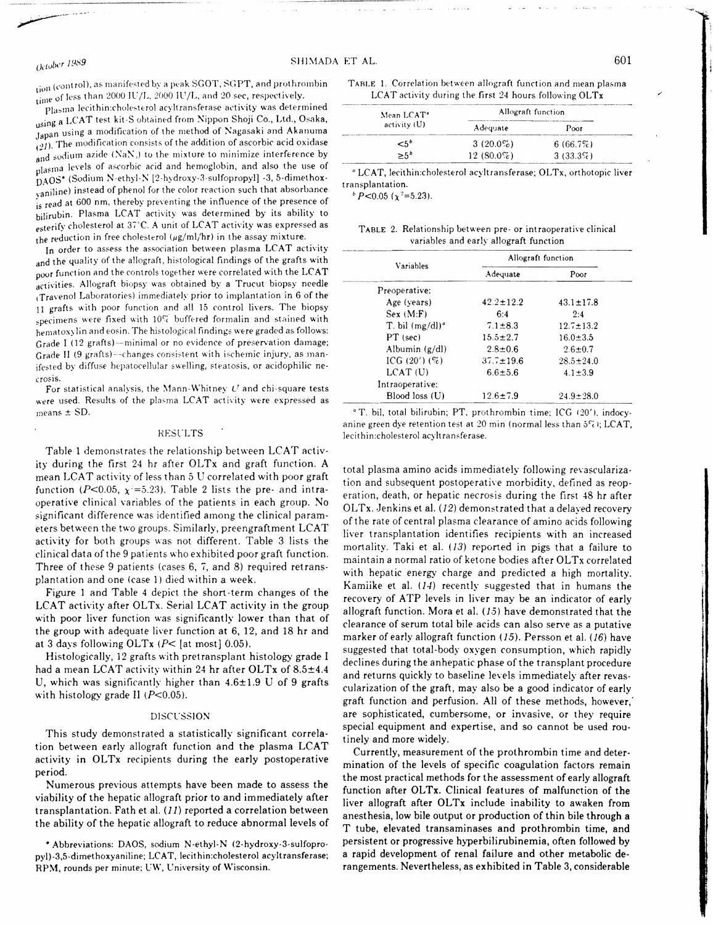SHIMADA ET AL.

## Plasma lecithin:cholesterol acyltransferase activity was determined using a LCAT test kit S obtained from Nippon Shoji Co., Ltd., Osaka, Japan using a modification of the method of Nagasaki and Akanuma  $(21)$ . The modification consists of the addition of ascorbic acid oxidase and sodium azide (NaN,) to the mixture to minimize interference by plasma levels of ascorbic acid and hemoglobin, and also the use of DAOS\* (Sodium N-ethyl-N [2-hydroxy-3-sulfopropyl] -3, 5-dimethoxyaniline) instead of phenol for the color reaction such that absorbance is read at 600 nm, thereby preventing the influence of the presence of bilirubin. Plasma LCAT activity was determined by its ability to esterify cholesterol at 37°C. A unit of LCAT activity was expressed as the reduction in free cholesterol  $(\mu g/ml/hr)$  in the assay mixture.

In order to assess the association between plasma LCAT activity and the quality of the allograft, histological findings of the grafts with poor function and the controls together were correlated with the LCAT activities. Allograft biopsy was obtained by a Trucut biopsy needle (Travenol Laboratories) immediately prior to implantation in 6 of the 11 grafts with poor function and all 15 control livers. The biopsy specimens were fixed with 10% buffered formalin and stained with hematoxylin and eosin. The histological findings were graded as follows: Grade I (12 grafts)--minimal or no evidence of preservation damage; Grade II (9 grafts)---changes consistent with ischemic injury, as manifested by diffuse hepatocellular swelling, steatosis, or acidophilic necrosis.

For statistical analysis, the Mann-Whitney  $U$  and chi-square tests were used. Results of the plasma LCAT activity were expressed as means  $\pm$  SD.

#### **RESULTS**

Table 1 demonstrates the relationship between LCAT activity during the first 24 hr after OLTx and graft function. A mean LCAT activity of less than 5 U correlated with poor graft function (P<0.05,  $\chi$  =5.23). Table 2 lists the pre- and intraoperative clinical variables of the patients in each group. No significant difference was identified among the clinical parameters between the two groups. Similarly, preengraftment LCAT activity for both groups was not different. Table 3 lists the clinical data of the 9 patients who exhibited poor graft function. Three of these 9 patients (cases 6, 7, and 8) required retransplantation and one (case 1) died within a week.

Figure 1 and Table 4 depict the short-term changes of the LCAT activity after OLTx. Serial LCAT activity in the group with poor liver function was significantly lower than that of the group with adequate liver function at 6, 12, and 18 hr and at 3 days following OLTx  $(P<$  [at most] 0.05).

Histologically, 12 grafts with pretransplant histology grade I had a mean LCAT activity within 24 hr after OLTx of 8.5±4.4 U, which was significantly higher than  $4.6 \pm 1.9$  U of 9 grafts with histology grade II  $(P<0.05)$ .

#### DISCUSSION

This study demonstrated a statistically significant correlation between early allograft function and the plasma LCAT activity in OLTx recipients during the early postoperative period.

Numerous previous attempts have been made to assess the viability of the hepatic allograft prior to and immediately after transplantation. Fath et al. (11) reported a correlation between the ability of the hepatic allograft to reduce abnormal levels of

\* Abbreviations: DAOS, sodium N-ethyl-N (2-hydroxy-3-sulfopropyl)-3,5-dimethoxyaniline; LCAT, lecithin:cholesterol acyltransferase; RPM, rounds per minute; UW, University of Wisconsin.

TABLE 1. Correlation between allograft function and mean plasma LCAT activity during the first 24 hours following OLTx

| Mean LCAT <sup>®</sup> | Allograft function |             |  |  |
|------------------------|--------------------|-------------|--|--|
| activity (U)           | Adequate           | Poor        |  |  |
| $5^{\circ}$            | 3 $(20.0\%)$       | 6(66.7%)    |  |  |
| > 5 <sup>b</sup>       | 12 $(80.0\%)$      | $3(33.3\%)$ |  |  |

<sup>o</sup> LCAT, lecithin:cholesterol acyltransferase; OLTx, orthotopic liver transplantation.

 $b$  P < 0.05 ( $\chi$ <sup>2</sup> = 5.23).

|  | TABLE 2. Relationship between pre- or intraoperative clinical |
|--|---------------------------------------------------------------|
|  | variables and early allograft function                        |

|                    | Allograft function |                 |  |  |
|--------------------|--------------------|-----------------|--|--|
| Variables          | Adequate           | Poor            |  |  |
| Preoperative:      |                    |                 |  |  |
| Age (years)        | $42.2 \pm 12.2$    | $43.1 \pm 17.8$ |  |  |
| Sex (M.F)          | 6:4                | 2:4             |  |  |
| T. bil $(mg/dl)^a$ | $7.1 \pm 8.3$      | $12.7 \pm 13.2$ |  |  |
| $PT$ (sec)         | $15.5 \pm 2.7$     | $16.0 \pm 3.5$  |  |  |
| Albumin $(g/dl)$   | $2.8 \pm 0.6$      | $2.6 \pm 0.7$   |  |  |
| ICG $(20') (\%)$   | $37.7 \pm 19.6$    | $28.5 \pm 24.0$ |  |  |
| $LCAT$ (U)         | $6.6 \pm 5.6$      | $4.1 \pm 3.9$   |  |  |
| Intraoperative:    |                    |                 |  |  |
| Blood loss (U)     | $12.6 \pm 7.9$     | $24.9 + 28.0$   |  |  |

<sup>a</sup> T. bil, total bilirubin; PT, prothrombin time; ICG (20'), indocyanine green dye retention test at 20 min (normal less than  $5\%$ ); LCAT, lecithin:cholesterol acyltransferase.

total plasma amino acids immediately following revascularization and subsequent postoperative morbidity, defined as reoperation, death, or hepatic necrosis during the first 48 hr after OLTx. Jenkins et al. (12) demonstrated that a delayed recovery of the rate of central plasma clearance of amino acids following liver transplantation identifies recipients with an increased mortality. Taki et al. (13) reported in pigs that a failure to maintain a normal ratio of ketone bodies after OLTx correlated with hepatic energy charge and predicted a high mortality. Kamiike et al. (14) recently suggested that in humans the recovery of ATP levels in liver may be an indicator of early allograft function. Mora et al. (15) have demonstrated that the clearance of serum total bile acids can also serve as a putative marker of early allograft function (15). Persson et al. (16) have suggested that total-body oxygen consumption, which rapidly declines during the anhepatic phase of the transplant procedure and returns quickly to baseline levels immediately after revascularization of the graft, may also be a good indicator of early graft function and perfusion. All of these methods, however, are sophisticated, cumbersome, or invasive, or they require special equipment and expertise, and so cannot be used routinely and more widely.

Currently, measurement of the prothrombin time and determination of the levels of specific coagulation factors remain the most practical methods for the assessment of early allograft function after OLTx. Clinical features of malfunction of the liver allograft after OLTx include inability to awaken from anesthesia, low bile output or production of thin bile through a T tube, elevated transaminases and prothrombin time, and persistent or progressive hyperbilirubinemia, often followed by a rapid development of renal failure and other metabolic derangements. Nevertheless, as exhibited in Table 3, considerable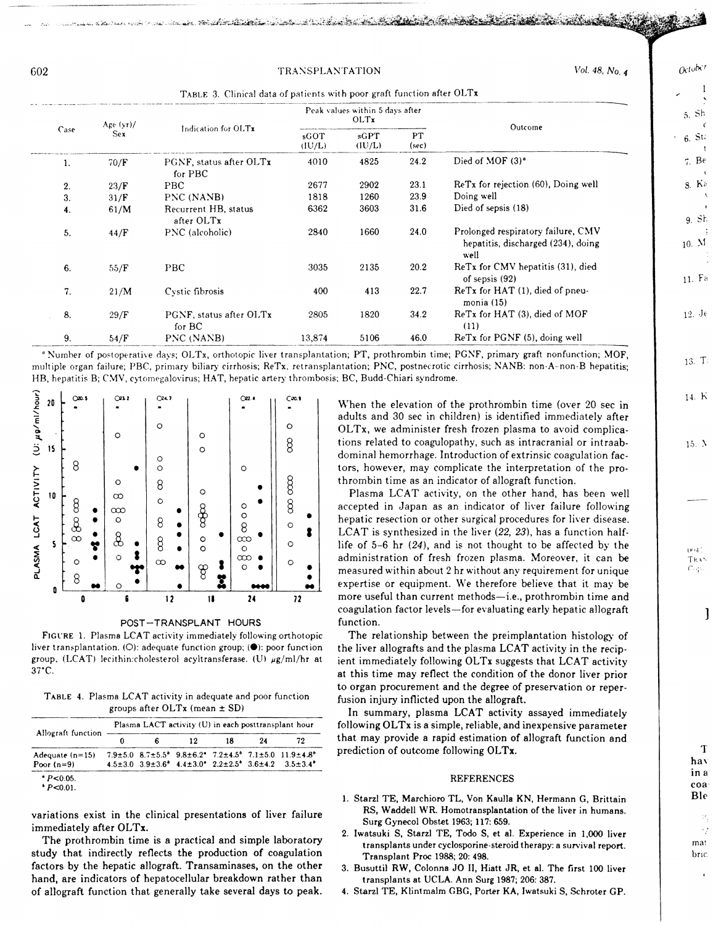## TRANSPLANTATION

 $Q_1$ ,  $Q_2$ ,  $Q_3$ ,  $Q_4$ ,  $Q_5$ ,  $Q_6$ ,  $Q_7$ ,  $Q_8$ ,  $Q_7$ ,  $Q_8$ ,  $Q_9$ ,  $Q_9$ ,  $Q_9$ ,  $Q_9$ ,  $Q_9$ ,  $Q_9$ ,  $Q_9$ ,  $Q_9$ ,  $Q_9$ ,  $Q_9$ ,  $Q_9$ ,  $Q_9$ ,  $Q_9$ ,  $Q_9$ ,  $Q_9$ ,  $Q_9$ ,  $Q_9$ ,  $Q_9$ ,  $Q_9$ ,  $Q_9$ ,  $Q_9$ ,  $Q_9$ 

Storm and the strike that the state of the state of the state of the state of the state of the

| Age $(yr)$ /<br>Case<br>Sex |                     |                                    | Peak values within 5 days after<br>OLTx |             |      | Outcome                                                                          |
|-----------------------------|---------------------|------------------------------------|-----------------------------------------|-------------|------|----------------------------------------------------------------------------------|
|                             | Indication for OLTx | sGOT<br>(IU/L)                     | sGPT<br>(IU/L)                          | PT<br>(sec) |      |                                                                                  |
| 1.                          | 70/F                | PGNF, status after OLTx<br>for PBC | 4010                                    | 4825        | 24.2 | Died of MOF (3) <sup>°</sup>                                                     |
| 2.                          | 23/F                | PBC                                | 2677                                    | 2902        | 23.1 | ReTx for rejection (60), Doing well                                              |
| 3.                          | 31/F                | PNC (NANB)                         | 1818                                    | 1260        | 23.9 | Doing well                                                                       |
| 4.                          | 61/M                | Recurrent HB, status<br>after OLTx | 6362                                    | 3603        | 31.6 | Died of sepsis (18)                                                              |
| 5.                          | 44/F                | PNC (alcoholic)                    | 2840                                    | 1660        | 24.0 | Prolonged respiratory failure, CMV<br>hepatitis, discharged (234), doing<br>well |
| 6.                          | 55/F                | <b>PBC</b>                         | 3035                                    | 2135        | 20.2 | ReTx for CMV hepatitis (31), died<br>of sepsis $(92)$                            |
| 7.                          | 21/M                | Cystic fibrosis                    | 400                                     | 413         | 22.7 | ReTx for HAT (1), died of pneu-<br>monia(15)                                     |
| 8.                          | 29/F                | PGNF, status after OLTx<br>for BC  | 2805                                    | 1820        | 34.2 | ReTx for HAT (3), died of MOF<br>(11)                                            |
| 9.                          | 54/F                | PNC (NANB)                         | 13,874                                  | 5106        | 46.0 | ReTx for PGNF (5), doing well                                                    |

<sup>o</sup> Number of postoperative days; OLTx, orthotopic liver transplantation; PT, prothrombin time; PGNF, primary graft nonfunction; MOF, multiple organ failure; PBC, primary biliary cirrhosis; ReTx, retransplantation; PNC, postnecrotic cirrhosis; NANB: non-A-non-B hepatitis; HB, hepatitis B; CMV, cytomegalovirus; HAT, hepatic artery thrombosis; BC, Budd-Chiari syndrome.



POST-TRANSPLANT HOURS

FIGURE 1. Plasma LCAT activity immediately following orthotopic liver transplantation. (O): adequate function group; (.): poor function group, (LCAT) lecithin:cholesterol acyltransferase. (U)  $\mu$ g/ml/hr at  $37^{\circ}$ C.

TABLE 4. Plasma LCAT activity in adequate and poor function groups after OLTx (mean ± SD)

|                                   | Plasma LACT activity (U) in each posttransplant hour |  |    |    |    |                                                                                                                                                                                                                                                                         |  |
|-----------------------------------|------------------------------------------------------|--|----|----|----|-------------------------------------------------------------------------------------------------------------------------------------------------------------------------------------------------------------------------------------------------------------------------|--|
| Allograft function                |                                                      |  | 12 | 18 | 24 | 79                                                                                                                                                                                                                                                                      |  |
| Adequate $(n=15)$<br>Poor $(n=9)$ |                                                      |  |    |    |    | $7.9 \pm 5.0$ $8.7 \pm 5.5$ <sup>*</sup> $9.8 \pm 6.2$ <sup>*</sup> $7.2 \pm 4.5$ <sup>*</sup> $7.1 \pm 5.0$ $11.9 \pm 4.8$ <sup>*</sup><br>$4.5\pm3.0$ $3.9\pm3.6$ <sup>6</sup> $4.4\pm3.0$ <sup>e</sup> $2.2\pm2.5$ <sup>6</sup> $3.6\pm4.2$ $3.5\pm3.4$ <sup>6</sup> |  |
| $P < 0.05$ .<br>P < 0.01          |                                                      |  |    |    |    |                                                                                                                                                                                                                                                                         |  |

variations exist in the clinical presentations of liver failure immediately after OLTx.

The prothrombin time is a practical and simple laboratory study that indirectly reflects the production of coagulation factors by the hepatic allograft. Transaminases, on the other hand, are indicators of hepatocellular breakdown rather than of allograft function that generally take several days to peak.

When the elevation of the prothrombin time (over 20 sec in adults and 30 sec in children) is identified immediately after OLTx, we administer fresh frozen plasma to avoid complications related to coagulopathy, such as intracranial or intraabdominal hemorrhage. Introduction of extrinsic coagulation factors, however, may complicate the interpretation of the prothrombin time as an indicator of allograft function.

Plasma LCAT activity, on the other hand, has been well accepted in Japan as an indicator of liver failure following hepatic resection or other surgical procedures for liver disease. LCAT is synthesized in the liver (22, 23), has a function halflife of  $5-6$  hr  $(24)$ , and is not thought to be affected by the administration of fresh frozen plasma. Moreover, it can be measured within about 2 hr without any requirement for unique expertise or equipment. We therefore believe that it may be more useful than current methods-i.e., prothrombin time and coagulation factor levels-for evaluating early hepatic allograft function.

The relationship between the preimplantation histology of the liver allografts and the plasma LCAT activity in the recipient immediately following OLTx suggests that LCAT activity at this time may reflect the condition of the donor liver prior to organ procurement and the degree of preservation or reperfusion injury inflicted upon the allograft.

In summary, plasma LCAT activity assayed immediately following OLTx is a simple, reliable, and inexpensive parameter that may provide a rapid estimation of allograft function and prediction of outcome following OLTx.

## **REFERENCES**

- 1. Starzl TE, Marchioro TL, Von Kaulla KN, Hermann G, Brittain RS, Waddell WR. Homotransplantation of the liver in humans. Surg Gynecol Obstet 1963; 117: 659.
- 2. Iwatsuki S, Starzl TE, Todo S, et al. Experience in 1,000 liver transplants under cyclosporine-steroid therapy: a survival report. Transplant Proc 1988; 20: 498.
- 3. Busuttil RW, Colonna JO II, Hiatt JR, et al. The first 100 liver transplants at UCLA. Ann Surg 1987; 206: 387.
- 4. Starzl TE, Klintmalm GBG, Porter KA, Iwatsuki S, Schroter GP.

6. St.  $7. Be$  $8. K<sub>5</sub>$ 

 $Octobct$ 

 $5.$  Sh  $\epsilon$ 

 $\mathbf{I}$ 

10. M

9. Sh

11. Fa

 $12. \text{Je}$ 

 $13. T<sub>i</sub>$ 

14. K

 $15. \lambda$ 

 $(W(4))$ TRA'

ಿಪ

1

T hay in a coa Ble